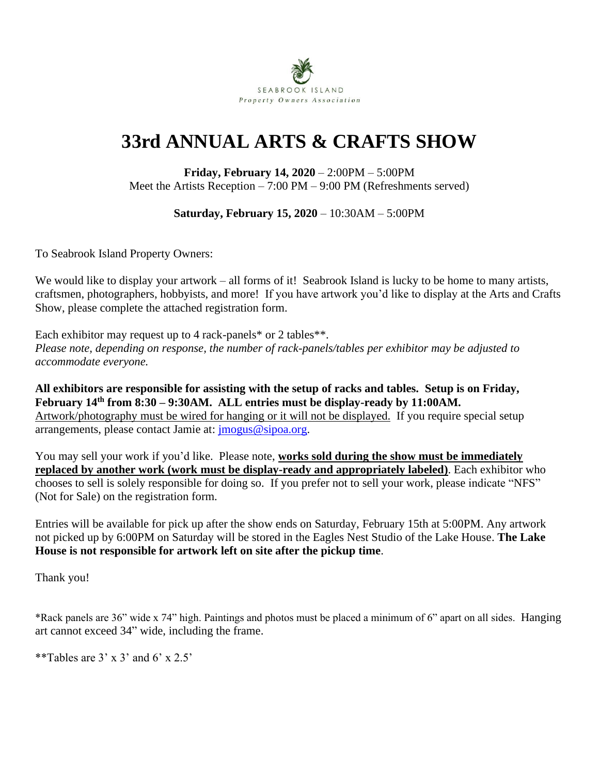

## **33rd ANNUAL ARTS & CRAFTS SHOW**

**Friday, February 14, 2020** – 2:00PM – 5:00PM Meet the Artists Reception – 7:00 PM – 9:00 PM (Refreshments served)

**Saturday, February 15, 2020** – 10:30AM – 5:00PM

To Seabrook Island Property Owners:

We would like to display your artwork – all forms of it! Seabrook Island is lucky to be home to many artists, craftsmen, photographers, hobbyists, and more! If you have artwork you'd like to display at the Arts and Crafts Show, please complete the attached registration form.

Each exhibitor may request up to 4 rack-panels\* or 2 tables\*\*. *Please note, depending on response, the number of rack-panels/tables per exhibitor may be adjusted to accommodate everyone.*

**All exhibitors are responsible for assisting with the setup of racks and tables. Setup is on Friday, February 14th from 8:30 – 9:30AM. ALL entries must be display-ready by 11:00AM.** Artwork/photography must be wired for hanging or it will not be displayed. If you require special setup arrangements, please contact Jamie at: [jmogus@sipoa.org.](mailto:jmogus@sipoa.org)

You may sell your work if you'd like. Please note, **works sold during the show must be immediately replaced by another work (work must be display-ready and appropriately labeled)**. Each exhibitor who chooses to sell is solely responsible for doing so. If you prefer not to sell your work, please indicate "NFS" (Not for Sale) on the registration form.

Entries will be available for pick up after the show ends on Saturday, February 15th at 5:00PM. Any artwork not picked up by 6:00PM on Saturday will be stored in the Eagles Nest Studio of the Lake House. **The Lake House is not responsible for artwork left on site after the pickup time**.

Thank you!

\*Rack panels are 36" wide x 74" high. Paintings and photos must be placed a minimum of 6" apart on all sides. Hanging art cannot exceed 34" wide, including the frame.

\*\*Tables are  $3' \times 3'$  and 6'  $\times 2.5'$